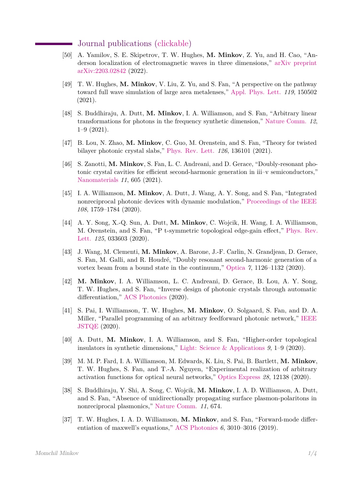## Journal publications [\(clickable\)](http://momchilmm.github.io/publications/publist.pdf)

- [50] A. Yamilov, S. E. Skipetrov, T. W. Hughes, **M. Minkov**, Z. Yu, and H. Cao, "Anderson localization of electromagnetic waves in three dimensions," [arXiv preprint](http:/momchilmm.github.io/publications/Yamilov_arxiv_2022.pdf) [arXiv:2203.02842](http:/momchilmm.github.io/publications/Yamilov_arxiv_2022.pdf) (2022).
- [49] T. W. Hughes, **M. Minkov**, V. Liu, Z. Yu, and S. Fan, "A perspective on the pathway toward full wave simulation of large area metalenses," [Appl. Phys. Lett.](http:/momchilmm.github.io/publications/Hughes_APL_2021.pdf) *119*, 150502 (2021).
- [48] S. Buddhiraju, A. Dutt, **M. Minkov**, I. A. Williamson, and S. Fan, "Arbitrary linear transformations for photons in the frequency synthetic dimension," [Nature Comm.](http:/momchilmm.github.io/publications/Buddhiraju_Nature-comm_2021.pdf) *12*, 1–9 (2021).
- [47] B. Lou, N. Zhao, **M. Minkov**, C. Guo, M. Orenstein, and S. Fan, "Theory for twisted bilayer photonic crystal slabs," [Phys. Rev. Lett.](http:/momchilmm.github.io/publications/Lou_PRL_2021.pdf) *126*, 136101 (2021).
- [46] S. Zanotti, **M. Minkov**, S. Fan, L. C. Andreani, and D. Gerace, "Doubly-resonant photonic crystal cavities for efficient second-harmonic generation in iii–v semiconductors," [Nanomaterials](http:/momchilmm.github.io/publications/Zanotti_Nanomaterials_2021.pdf) *11*, 605 (2021).
- [45] I. A. Williamson, **M. Minkov**, A. Dutt, J. Wang, A. Y. Song, and S. Fan, "Integrated nonreciprocal photonic devices with dynamic modulation," [Proceedings of the IEEE](http:/momchilmm.github.io/publications/Williamson_ProcIEEE_2020.pdf) *108*, 1759–1784 (2020).
- [44] A. Y. Song, X.-Q. Sun, A. Dutt, **M. Minkov**, C. Wojcik, H. Wang, I. A. Williamson, M. Orenstein, and S. Fan, "P t-symmetric topological edge-gain effect," [Phys. Rev.](http:/momchilmm.github.io/publications/Song_PRL_2020.pdf) [Lett.](http:/momchilmm.github.io/publications/Song_PRL_2020.pdf) *125*, 033603 (2020).
- [43] J. Wang, M. Clementi, **M. Minkov**, A. Barone, J.-F. Carlin, N. Grandjean, D. Gerace, S. Fan, M. Galli, and R. Houdré, "Doubly resonant second-harmonic generation of a vortex beam from a bound state in the continuum," [Optica](http:/momchilmm.github.io/publications/Wang_Optica_2020.pdf) *7*, 1126–1132 (2020).
- [42] **M. Minkov**, I. A. Williamson, L. C. Andreani, D. Gerace, B. Lou, A. Y. Song, T. W. Hughes, and S. Fan, "Inverse design of photonic crystals through automatic differentiation," [ACS Photonics](http:/momchilmm.github.io/publications/Minkov_ACS-phot_2020.pdf) (2020).
- [41] S. Pai, I. Williamson, T. W. Hughes, **M. Minkov**, O. Solgaard, S. Fan, and D. A. Miller, "Parallel programming of an arbitrary feedforward photonic network," [IEEE](http:/momchilmm.github.io/publications/Pai_JSTQE_2020.pdf) [JSTQE](http:/momchilmm.github.io/publications/Pai_JSTQE_2020.pdf) (2020).
- [40] A. Dutt, **M. Minkov**, I. A. Williamson, and S. Fan, "Higher-order topological insulators in synthetic dimensions," [Light: Science & Applications](http:/momchilmm.github.io/publications/Dutt_LiSA_2020.pdf) *9*, 1–9 (2020).
- [39] M. M. P. Fard, I. A. Williamson, M. Edwards, K. Liu, S. Pai, B. Bartlett, **M. Minkov**, T. W. Hughes, S. Fan, and T.-A. Nguyen, "Experimental realization of arbitrary activation functions for optical neural networks," [Optics Express](http:/momchilmm.github.io/publications/Fard_OE_2020.pdf) *28*, 12138 (2020).
- [38] S. Buddhiraju, Y. Shi, A. Song, C. Wojcik, **M. Minkov**, I. A. D. Williamson, A. Dutt, and S. Fan, "Absence of unidirectionally propagating surface plasmon-polaritons in nonreciprocal plasmonics," [Nature Comm.](http:/momchilmm.github.io/publications/Buddhiraju_Nature-Comm_2020.pdf) *11*, 674.
- [37] T. W. Hughes, I. A. D. Williamson, **M. Minkov**, and S. Fan, "Forward-mode differentiation of maxwell's equations," [ACS Photonics](http:/momchilmm.github.io/publications/Hughes_ACS-phot_2019.pdf) *6*, 3010–3016 (2019).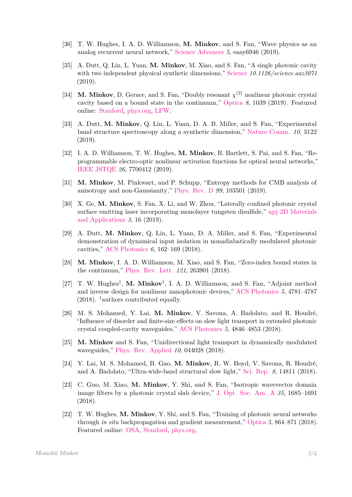- [36] T. W. Hughes, I. A. D. Williamson, **M. Minkov**, and S. Fan, "Wave physics as an analog recurrent neural network," [Science Advances](http:/momchilmm.github.io/publications/Hughes_ScienceAdvances_2019.pdf) *5*, eaay6946 (2019).
- [35] A. Dutt, Q. Lin, L. Yuan, **M. Minkov**, M. Xiao, and S. Fan, "A single photonic cavity with two independent physical synthetic dimensions," [Science](http:/momchilmm.github.io/publications/Dutt_Science_2019.pdf) *10.1126/science.aaz3071* (2019).
- [34] **M. Minkov**, D. Gerace, and S. Fan, "Doubly resonant  $\chi^{(2)}$  nonlinear photonic crystal cavity based on a bound state in the continuum," [Optica](http:/momchilmm.github.io/publications/Minkov_Optica_2019.pdf) *8*, 1039 (2019). Featured online: [Stanford,](https://news.stanford.edu/2019/08/07/light-trapping-color-converting-crystal/) [phys.org,](https://phys.org/news/2019-08-light-trapping-color-converting-crystal.html) [LFW.](https://www.laserfocusworld.com/optics/article/14038064/stanford-researchers-design-a-lighttrapping-colorconverting-photonic-crystal)
- [33] A. Dutt, **M. Minkov**, Q. Lin, L. Yuan, D. A. B. Miller, and S. Fan, "Experimental band structure spectroscopy along a synthetic dimension," [Nature Comm.](http:/momchilmm.github.io/publications/Dutt_NatureComm_2019.pdf) *10*, 3122 (2019).
- [32] I. A. D. Williamson, T. W. Hughes, **M. Minkov**, B. Bartlett, S. Pai, and S. Fan, "Reprogrammable electro-optic nonlinear activation functions for optical neural networks," [IEEE JSTQE](http:/momchilmm.github.io/publications/Williamson_JSTQE_2019.pdf) *26*, 7700412 (2019).
- [31] **M. Minkov**, M. Pinkwart, and P. Schupp, "Entropy methods for CMB analysis of anisotropy and non-Gaussianity," [Phys. Rev. D](http:/momchilmm.github.io/publications/Minkov_PRD_2019.pdf) *99*, 103501 (2019).
- [30] X. Ge, **M. Minkov**, S. Fan, X. Li, and W. Zhou, "Laterally confined photonic crystal surface emitting laser incorporating monolayer tungsten disulfide," [npj 2D Materials](http:/momchilmm.github.io/publications/Ge_NPJ-2D_2019.pdf) [and Applications](http:/momchilmm.github.io/publications/Ge_NPJ-2D_2019.pdf) *3*, 16 (2019).
- [29] A. Dutt, **M. Minkov**, Q. Lin, L. Yuan, D. A. Miller, and S. Fan, "Experimental demonstration of dynamical input isolation in nonadiabatically modulated photonic cavities," [ACS Photonics](http:/momchilmm.github.io/publications/Dutt_ACS-phot_2018.pdf) *6*, 162–169 (2018).
- [28] **M. Minkov**, I. A. D. Williamson, M. Xiao, and S. Fan, "Zero-index bound states in the continuum," [Phys. Rev. Lett.](http:/momchilmm.github.io/publications/Minkov_PRL_2018.pdf) *121*, 263901 (2018).
- [27] T. W. Hughes† , **M. Minkov**† , I. A. D. Williamson, and S. Fan, "Adjoint method and inverse design for nonlinear nanophotonic devices," [ACS Photonics](http:/momchilmm.github.io/publications/Hughes_ACS-phot_2018.pdf) *5*, 4781–4787  $(2018)$ . <sup>†</sup>authors contributed equally.
- [26] M. S. Mohamed, Y. Lai, **M. Minkov**, V. Savona, A. Badolato, and R. Houdré, "Influence of disorder and finite-size effects on slow light transport in extended photonic crystal coupled-cavity waveguides," [ACS Photonics](http:/momchilmm.github.io/publications/Mohamed_ACS-phot_2018.pdf) *5*, 4846–4853 (2018).
- [25] **M. Minkov** and S. Fan, "Unidirectional light transport in dynamically modulated waveguides," [Phys. Rev. Applied](http:/momchilmm.github.io/publications/Minkov_PRApplied_2018.pdf) *10*, 044028 (2018).
- [24] Y. Lai, M. S. Mohamed, B. Gao, **M. Minkov**, R. W. Boyd, V. Savona, R. Houdré, and A. Badolato, "Ultra-wide-band structural slow light," [Sci. Rep.](http:/momchilmm.github.io/publications/Lai_SR_2018.pdf) *8*, 14811 (2018).
- [23] C. Guo, M. Xiao, **M. Minkov**, Y. Shi, and S. Fan, "Isotropic wavevector domain image filters by a photonic crystal slab device," [J. Opt. Soc. Am. A](http:/momchilmm.github.io/publications/Guo_JOSAA_2018.pdf) *35*, 1685–1691 (2018).
- [22] T. W. Hughes, **M. Minkov**, Y. Shi, and S. Fan, "Training of photonic neural networks through *in situ* backpropagation and gradient measurement," [Optica](http:/momchilmm.github.io/publications/Hughes_Optica_2018.pdf) *5*, 864–871 (2018). Featured online: [OSA,](https://www.osa.org/en-us/about_osa/newsroom/news_releases/2018/researchers_move_closer_to_completely_optical_arti/) [Stanford,](https://systemx.stanford.edu/news/2018-07-19-000000/researchers-move-closer-completely-optical-artificial-neural-network) [phys.org.](https://phys.org/news/2018-07-closer-optical-artificial-neural-network.html)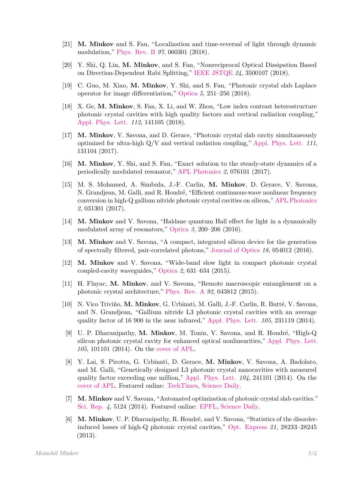- [21] **M. Minkov** and S. Fan, "Localization and time-reversal of light through dynamic modulation," [Phys. Rev. B](http:/momchilmm.github.io/publications/Minkov_PRB_2018.pdf) *97*, 060301 (2018).
- [20] Y. Shi, Q. Lin, **M. Minkov**, and S. Fan, "Nonreciprocal Optical Dissipation Based on Direction-Dependent Rabi Splitting," [IEEE JSTQE](http:/momchilmm.github.io/publications/Shi_JSTQE_2018.pdf) *24*, 3500107 (2018).
- [19] C. Guo, M. Xiao, **M. Minkov**, Y. Shi, and S. Fan, "Photonic crystal slab Laplace operator for image differentiation," [Optica](http:/momchilmm.github.io/publications/Guo_Optica_2018.pdf) *5*, 251–256 (2018).
- [18] X. Ge, **M. Minkov**, S. Fan, X. Li, and W. Zhou, "Low index contrast heterostructure photonic crystal cavities with high quality factors and vertical radiation coupling," [Appl. Phys. Lett.](http:/momchilmm.github.io/publications/Ge_APL_2018.pdf) *112*, 141105 (2018).
- [17] **M. Minkov**, V. Savona, and D. Gerace, "Photonic crystal slab cavity simultaneously optimized for ultra-high Q/V and vertical radiation coupling," [Appl. Phys. Lett.](http:/momchilmm.github.io/publications/Minkov_APL_2017.pdf) *111*, 131104 (2017).
- [16] **M. Minkov**, Y. Shi, and S. Fan, "Exact solution to the steady-state dynamics of a periodically modulated resonator," [APL Photonics](http:/momchilmm.github.io/publications/Minkov_APL-phot_2017.pdf) *2*, 076101 (2017).
- [15] M. S. Mohamed, A. Simbula, J.-F. Carlin, **M. Minkov**, D. Gerace, V. Savona, N. Grandjean, M. Galli, and R. Houdré, "Efficient continuous-wave nonlinear frequency conversion in high-Q gallium nitride photonic crystal cavities on silicon," [APL Photonics](http:/momchilmm.github.io/publications/Mohamed_APL-phot_2017.pdf) *2*, 031301 (2017).
- [14] **M. Minkov** and V. Savona, "Haldane quantum Hall effect for light in a dynamically modulated array of resonators," [Optica](http:/momchilmm.github.io/publications/Minkov_Optica_2016.pdf) *3*, 200–206 (2016).
- [13] **M. Minkov** and V. Savona, "A compact, integrated silicon device for the generation of spectrally filtered, pair-correlated photons," [Journal of Optics](http:/momchilmm.github.io/publications/Minkov_JO_2016.pdf) *18*, 054012 (2016).
- [12] **M. Minkov** and V. Savona, "Wide-band slow light in compact photonic crystal coupled-cavity waveguides," [Optica](http:/momchilmm.github.io/publications/Minkov_Optica_2015.pdf) *2*, 631–634 (2015).
- [11] H. Flayac, **M. Minkov**, and V. Savona, "Remote macroscopic entanglement on a photonic crystal architecture," [Phys. Rev. A](http:/momchilmm.github.io/publications/Flayac_PRA_2015.pdf) *92*, 043812 (2015).
- [10] N. Vico Triviño, **M. Minkov**, G. Urbinati, M. Galli, J.-F. Carlin, R. Butté, V. Savona, and N. Grandjean, "Gallium nitride L3 photonic crystal cavities with an average quality factor of 16 900 in the near infrared," [Appl. Phys. Lett.](http:/momchilmm.github.io/publications/VicoTrivino_APL_2014.pdf) *105*, 231119 (2014).
- [9] U. P. Dharanipathy, **M. Minkov**, M. Tonin, V. Savona, and R. Houdré, "High-Q silicon photonic crystal cavity for enhanced optical nonlinearities," [Appl. Phys. Lett.](http:/momchilmm.github.io/publications/Dharanipathy_APL_2014.pdf) *105*, 101101 (2014). On the [cover of APL.](https://aip.scitation.org/toc/apl/105/10)
- [8] Y. Lai, S. Pirotta, G. Urbinati, D. Gerace, **M. Minkov**, V. Savona, A. Badolato, and M. Galli, "Genetically designed L3 photonic crystal nanocavities with measured quality factor exceeding one million," [Appl. Phys. Lett.](http:/momchilmm.github.io/publications/Lai_APL_2014.pdf) *104*, 241101 (2014). On the [cover of APL.](https://aip.scitation.org/toc/apl/104/24) Featured online: [TechTimes,](https://www.techtimes.com/articles/8625/20140618/can-light-be-trapped-in-a-silicon-nanocavity-yes.htm) [Science Daily.](https://www.sciencedaily.com/releases/2014/06/140616130337.htm)
- [7] **M. Minkov** and V. Savona, "Automated optimization of photonic crystal slab cavities." [Sci. Rep.](http:/momchilmm.github.io/publications/Minkov_SR_2014.pdf) *4*, 5124 (2014). Featured online: [EPFL,](https://actu.epfl.ch/news/a-faster-path-to-optical-circuits/) [Science Daily.](https://www.sciencedaily.com/releases/2014/06/140616130903.htm)
- [6] **M. Minkov**, U. P. Dharanipathy, R. Houdré, and V. Savona, "Statistics of the disorderinduced losses of high-Q photonic crystal cavities," [Opt. Express](http:/momchilmm.github.io/publications/Minkov_OE_2013.pdf) *21*, 28233–28245 (2013).